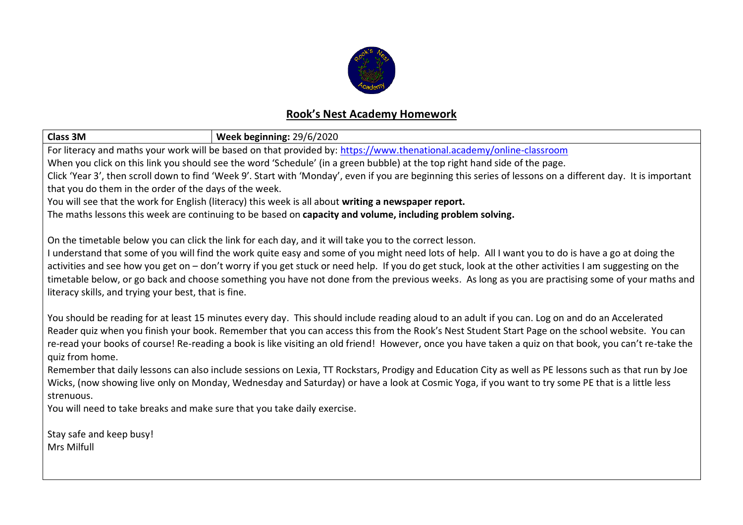

## **Rook's Nest Academy Homework**

| <b>Class 3M</b><br>Week beginning: 29/6/2020                                                                                                                                                                                                                                                                   |                                                                                                                                                         |  |  |
|----------------------------------------------------------------------------------------------------------------------------------------------------------------------------------------------------------------------------------------------------------------------------------------------------------------|---------------------------------------------------------------------------------------------------------------------------------------------------------|--|--|
| For literacy and maths your work will be based on that provided by: https://www.thenational.academy/online-classroom                                                                                                                                                                                           |                                                                                                                                                         |  |  |
| When you click on this link you should see the word 'Schedule' (in a green bubble) at the top right hand side of the page.                                                                                                                                                                                     |                                                                                                                                                         |  |  |
| Click 'Year 3', then scroll down to find 'Week 9'. Start with 'Monday', even if you are beginning this series of lessons on a different day. It is important                                                                                                                                                   |                                                                                                                                                         |  |  |
| that you do them in the order of the days of the week.                                                                                                                                                                                                                                                         |                                                                                                                                                         |  |  |
| You will see that the work for English (literacy) this week is all about writing a newspaper report.                                                                                                                                                                                                           |                                                                                                                                                         |  |  |
| The maths lessons this week are continuing to be based on capacity and volume, including problem solving.                                                                                                                                                                                                      |                                                                                                                                                         |  |  |
| On the timetable below you can click the link for each day, and it will take you to the correct lesson.                                                                                                                                                                                                        |                                                                                                                                                         |  |  |
|                                                                                                                                                                                                                                                                                                                |                                                                                                                                                         |  |  |
| I understand that some of you will find the work quite easy and some of you might need lots of help. All I want you to do is have a go at doing the<br>activities and see how you get on - don't worry if you get stuck or need help. If you do get stuck, look at the other activities I am suggesting on the |                                                                                                                                                         |  |  |
|                                                                                                                                                                                                                                                                                                                |                                                                                                                                                         |  |  |
| timetable below, or go back and choose something you have not done from the previous weeks. As long as you are practising some of your maths and<br>literacy skills, and trying your best, that is fine.                                                                                                       |                                                                                                                                                         |  |  |
|                                                                                                                                                                                                                                                                                                                |                                                                                                                                                         |  |  |
| You should be reading for at least 15 minutes every day. This should include reading aloud to an adult if you can. Log on and do an Accelerated                                                                                                                                                                |                                                                                                                                                         |  |  |
|                                                                                                                                                                                                                                                                                                                | Reader quiz when you finish your book. Remember that you can access this from the Rook's Nest Student Start Page on the school website. You can         |  |  |
|                                                                                                                                                                                                                                                                                                                | re-read your books of course! Re-reading a book is like visiting an old friend! However, once you have taken a quiz on that book, you can't re-take the |  |  |
| quiz from home.                                                                                                                                                                                                                                                                                                |                                                                                                                                                         |  |  |
|                                                                                                                                                                                                                                                                                                                | Remember that daily lessons can also include sessions on Lexia, TT Rockstars, Prodigy and Education City as well as PE lessons such as that run by Joe  |  |  |
| Wicks, (now showing live only on Monday, Wednesday and Saturday) or have a look at Cosmic Yoga, if you want to try some PE that is a little less                                                                                                                                                               |                                                                                                                                                         |  |  |
| strenuous.                                                                                                                                                                                                                                                                                                     |                                                                                                                                                         |  |  |
| You will need to take breaks and make sure that you take daily exercise.                                                                                                                                                                                                                                       |                                                                                                                                                         |  |  |
|                                                                                                                                                                                                                                                                                                                |                                                                                                                                                         |  |  |
| Stay safe and keep busy!                                                                                                                                                                                                                                                                                       |                                                                                                                                                         |  |  |
| Mrs Milfull                                                                                                                                                                                                                                                                                                    |                                                                                                                                                         |  |  |
|                                                                                                                                                                                                                                                                                                                |                                                                                                                                                         |  |  |
|                                                                                                                                                                                                                                                                                                                |                                                                                                                                                         |  |  |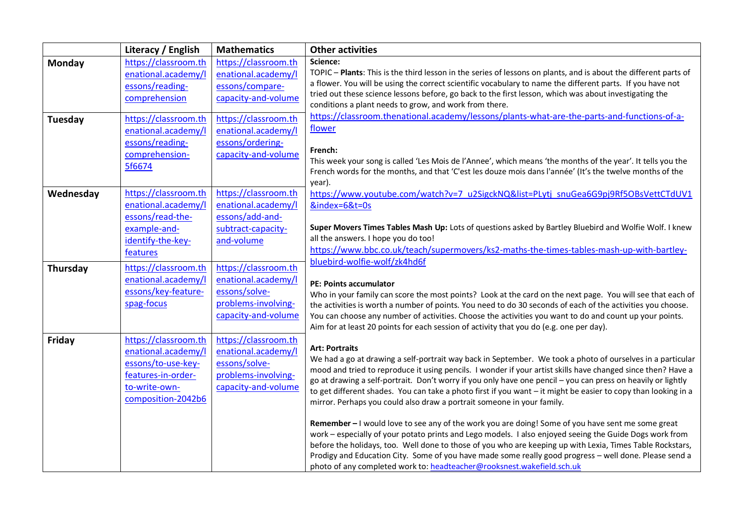|           | Literacy / English   | <b>Mathematics</b>   | <b>Other activities</b>                                                                                                                                                                                                      |
|-----------|----------------------|----------------------|------------------------------------------------------------------------------------------------------------------------------------------------------------------------------------------------------------------------------|
| Monday    | https://classroom.th | https://classroom.th | Science:                                                                                                                                                                                                                     |
|           | enational.academy/l  | enational.academy/l  | TOPIC - Plants: This is the third lesson in the series of lessons on plants, and is about the different parts of                                                                                                             |
|           | essons/reading-      | essons/compare-      | a flower. You will be using the correct scientific vocabulary to name the different parts. If you have not                                                                                                                   |
|           | comprehension        | capacity-and-volume  | tried out these science lessons before, go back to the first lesson, which was about investigating the                                                                                                                       |
|           |                      |                      | conditions a plant needs to grow, and work from there.<br>https://classroom.thenational.academy/lessons/plants-what-are-the-parts-and-functions-of-a-                                                                        |
| Tuesday   | https://classroom.th | https://classroom.th | flower                                                                                                                                                                                                                       |
|           | enational.academy/l  | enational.academy/l  |                                                                                                                                                                                                                              |
|           | essons/reading-      | essons/ordering-     | French:                                                                                                                                                                                                                      |
|           | comprehension-       | capacity-and-volume  | This week your song is called 'Les Mois de l'Annee', which means 'the months of the year'. It tells you the                                                                                                                  |
|           | 5f6674               |                      | French words for the months, and that 'C'est les douze mois dans l'année' (It's the twelve months of the                                                                                                                     |
|           |                      |                      | year).                                                                                                                                                                                                                       |
| Wednesday | https://classroom.th | https://classroom.th | https://www.youtube.com/watch?v=7_u2SigckNQ&list=PLytj_snuGea6G9pj9Rf5OBsVettCTdUV1                                                                                                                                          |
|           | enational.academy/l  | enational.academy/l  | &index=6&t=0s                                                                                                                                                                                                                |
|           | essons/read-the-     | essons/add-and-      |                                                                                                                                                                                                                              |
|           | example-and-         | subtract-capacity-   | Super Movers Times Tables Mash Up: Lots of questions asked by Bartley Bluebird and Wolfie Wolf. I knew                                                                                                                       |
|           | identify-the-key-    | and-volume           | all the answers. I hope you do too!                                                                                                                                                                                          |
|           | features             |                      | https://www.bbc.co.uk/teach/supermovers/ks2-maths-the-times-tables-mash-up-with-bartley-                                                                                                                                     |
| Thursday  | https://classroom.th | https://classroom.th | bluebird-wolfie-wolf/zk4hd6f                                                                                                                                                                                                 |
|           | enational.academy/l  | enational.academy/l  | PE: Points accumulator                                                                                                                                                                                                       |
|           | essons/key-feature-  | essons/solve-        | Who in your family can score the most points? Look at the card on the next page. You will see that each of                                                                                                                   |
|           | spag-focus           | problems-involving-  | the activities is worth a number of points. You need to do 30 seconds of each of the activities you choose.                                                                                                                  |
|           |                      | capacity-and-volume  | You can choose any number of activities. Choose the activities you want to do and count up your points.                                                                                                                      |
|           |                      |                      | Aim for at least 20 points for each session of activity that you do (e.g. one per day).                                                                                                                                      |
| Friday    | https://classroom.th | https://classroom.th |                                                                                                                                                                                                                              |
|           | enational.academy/l  | enational.academy/l  | <b>Art: Portraits</b>                                                                                                                                                                                                        |
|           | essons/to-use-key-   | essons/solve-        | We had a go at drawing a self-portrait way back in September. We took a photo of ourselves in a particular                                                                                                                   |
|           | features-in-order-   | problems-involving-  | mood and tried to reproduce it using pencils. I wonder if your artist skills have changed since then? Have a<br>go at drawing a self-portrait. Don't worry if you only have one pencil - you can press on heavily or lightly |
|           | to-write-own-        | capacity-and-volume  | to get different shades. You can take a photo first if you want - it might be easier to copy than looking in a                                                                                                               |
|           | composition-2042b6   |                      | mirror. Perhaps you could also draw a portrait someone in your family.                                                                                                                                                       |
|           |                      |                      |                                                                                                                                                                                                                              |
|           |                      |                      | Remember - I would love to see any of the work you are doing! Some of you have sent me some great                                                                                                                            |
|           |                      |                      | work - especially of your potato prints and Lego models. I also enjoyed seeing the Guide Dogs work from                                                                                                                      |
|           |                      |                      | before the holidays, too. Well done to those of you who are keeping up with Lexia, Times Table Rockstars,                                                                                                                    |
|           |                      |                      | Prodigy and Education City. Some of you have made some really good progress - well done. Please send a                                                                                                                       |
|           |                      |                      | photo of any completed work to: headteacher@rooksnest.wakefield.sch.uk                                                                                                                                                       |